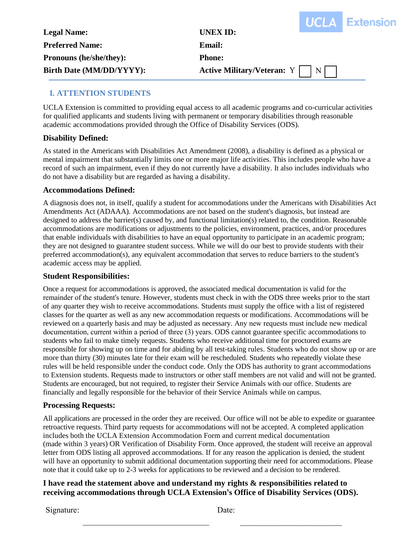| <b>UCLA Extension</b> |
|-----------------------|
|                       |

| <b>Legal Name:</b>             | _________<br>UNEX ID:               |  |
|--------------------------------|-------------------------------------|--|
| <b>Preferred Name:</b>         | <b>Email:</b>                       |  |
| <b>Pronouns (he/she/they):</b> | <b>Phone:</b>                       |  |
| Birth Date (MM/DD/YYYY):       | Active Military/Veteran: $Y \mid N$ |  |
|                                |                                     |  |

# **I. ATTENTION STUDENTS**

UCLA Extension is committed to providing equal access to all academic programs and co-curricular activities for qualified applicants and students living with permanent or temporary disabilities through reasonable academic accommodations provided through the Office of Disability Services (ODS).

## **Disability Defined:**

As stated in the Americans with Disabilities Act Amendment (2008), a disability is defined as a physical or mental impairment that substantially limits one or more major life activities. This includes people who have a record of such an impairment, even if they do not currently have a disability. It also includes individuals who do not have a disability but are regarded as having a disability.

## **Accommodations Defined:**

A diagnosis does not, in itself, qualify a student for accommodations under the Americans with Disabilities Act Amendments Act (ADAAA). Accommodations are not based on the student's diagnosis, but instead are designed to address the barrier(s) caused by, and functional limitation(s) related to, the condition. Reasonable accommodations are modifications or adjustments to the policies, environment, practices, and/or procedures that enable individuals with disabilities to have an equal opportunity to participate in an academic program; they are not designed to guarantee student success. While we will do our best to provide students with their preferred accommodation(s), any equivalent accommodation that serves to reduce barriers to the student's academic access may be applied.

## **Student Responsibilities:**

Once a request for accommodations is approved, the associated medical documentation is valid for the remainder of the student's tenure. However, students must check in with the ODS three weeks prior to the start of any quarter they wish to receive accommodations. Students must supply the office with a list of registered classes for the quarter as well as any new accommodation requests or modifications. Accommodations will be reviewed on a quarterly basis and may be adjusted as necessary. Any new requests must include new medical documentation, current within a period of three (3) years. ODS cannot guarantee specific accommodations to students who fail to make timely requests. Students who receive additional time for proctored exams are responsible for showing up on time and for abiding by all test-taking rules. Students who do not show up or are more than thirty (30) minutes late for their exam will be rescheduled. Students who repeatedly violate these rules will be held responsible under the conduct code. Only the ODS has authority to grant accommodations to Extension students. Requests made to instructors or other staff members are not valid and will not be granted. Students are encouraged, but not required, to register their Service Animals with our office. Students are financially and legally responsible for the behavior of their Service Animals while on campus.

## **Processing Requests:**

All applications are processed in the order they are received. Our office will not be able to expedite or guarantee retroactive requests. Third party requests for accommodations will not be accepted. A completed application includes both the UCLA Extension Accommodation Form and current medical documentation (made within 3 years) OR Verification of Disability Form. Once approved, the student will receive an approval letter from ODS listing all approved accommodations. If for any reason the application is denied, the student will have an opportunity to submit additional documentation supporting their need for accommodations. Please note that it could take up to 2-3 weeks for applications to be reviewed and a decision to be rendered.

## **I have read the statement above and understand my rights & responsibilities related to receiving accommodations through UCLA Extension's Office of Disability Services (ODS).**

Signature: Date:

\_\_\_\_\_\_\_\_\_\_\_\_\_\_\_\_\_\_\_\_\_\_\_\_\_\_\_\_\_\_\_ \_\_\_\_\_\_\_\_\_\_\_\_\_\_\_\_\_\_\_\_\_\_\_\_\_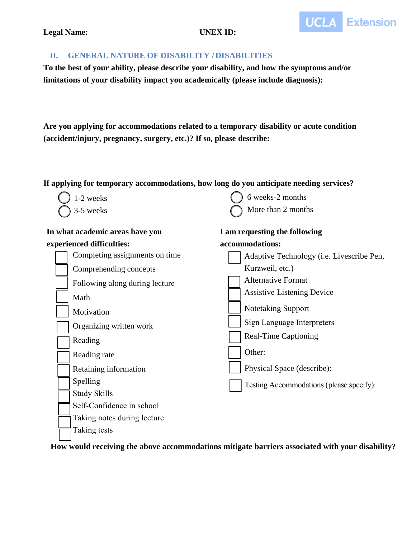

### **Legal Name: UNEX ID:**

## **II. GENERAL NATURE OF DISABILITY / DISABILITIES**

**To the best of your ability, please describe your disability, and how the symptoms and/or limitations of your disability impact you academically (please include diagnosis):**

**Are you applying for accommodations related to a temporary disability or acute condition (accident/injury, pregnancy, surgery, etc.)? If so, please describe:**

# **If applying for temporary accommodations, how long do you anticipate needing services?**

| 1-2 weeks                       | 6 weeks-2 months                          |
|---------------------------------|-------------------------------------------|
| 3-5 weeks                       | More than 2 months                        |
| In what academic areas have you | I am requesting the following             |
| experienced difficulties:       | accommodations:                           |
| Completing assignments on time  | Adaptive Technology (i.e. Livescribe Pen, |
| Comprehending concepts          | Kurzweil, etc.)                           |
| Following along during lecture  | <b>Alternative Format</b>                 |
| Math                            | <b>Assistive Listening Device</b>         |
| Motivation                      | Notetaking Support                        |
| Organizing written work         | Sign Language Interpreters                |
| Reading                         | <b>Real-Time Captioning</b>               |
| Reading rate                    | Other:                                    |
| Retaining information           | Physical Space (describe):                |
| Spelling                        | Testing Accommodations (please specify):  |
| <b>Study Skills</b>             |                                           |
| Self-Confidence in school       |                                           |
| Taking notes during lecture     |                                           |
| Taking tests                    |                                           |

**How would receiving the above accommodations mitigate barriers associated with your disability?**